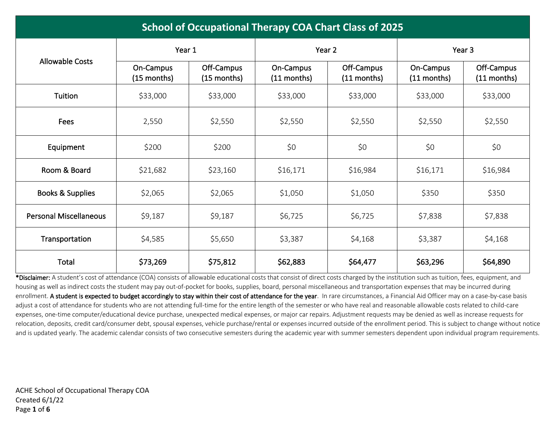| <b>School of Occupational Therapy COA Chart Class of 2025</b> |                          |                             |                            |                             |                            |                             |  |  |  |
|---------------------------------------------------------------|--------------------------|-----------------------------|----------------------------|-----------------------------|----------------------------|-----------------------------|--|--|--|
|                                                               | Year 1                   |                             | Year 2                     |                             | Year <sub>3</sub>          |                             |  |  |  |
| <b>Allowable Costs</b>                                        | On-Campus<br>(15 months) | Off-Campus<br>$(15$ months) | On-Campus<br>$(11$ months) | Off-Campus<br>$(11$ months) | On-Campus<br>$(11$ months) | Off-Campus<br>$(11$ months) |  |  |  |
| Tuition                                                       | \$33,000                 | \$33,000                    | \$33,000                   | \$33,000                    | \$33,000                   | \$33,000                    |  |  |  |
| Fees                                                          | 2,550                    | \$2,550                     | \$2,550                    | \$2,550                     | \$2,550                    | \$2,550                     |  |  |  |
| Equipment                                                     | \$200                    | \$200                       | \$0                        | \$0                         | \$0                        | \$0                         |  |  |  |
| Room & Board                                                  | \$21,682                 | \$23,160                    | \$16,171                   | \$16,984                    | \$16,171                   | \$16,984                    |  |  |  |
| <b>Books &amp; Supplies</b>                                   | \$2,065                  | \$2,065                     | \$1,050                    | \$1,050                     | \$350                      | \$350                       |  |  |  |
| <b>Personal Miscellaneous</b>                                 | \$9,187                  | \$9,187                     | \$6,725                    | \$6,725                     | \$7,838                    | \$7,838                     |  |  |  |
| Transportation                                                | \$4,585                  | \$5,650                     | \$3,387                    | \$4,168                     | \$3,387                    | \$4,168                     |  |  |  |
| Total                                                         | \$73,269                 | \$75,812                    | \$62,883                   | \$64,477                    | \$63,296                   | \$64,890                    |  |  |  |

\*Disclaimer: A student's cost of attendance (COA) consists of allowable educational costs that consist of direct costs charged by the institution such as tuition, fees, equipment, and housing as well as indirect costs the student may pay out-of-pocket for books, supplies, board, personal miscellaneous and transportation expenses that may be incurred during enrollment. A student is expected to budget accordingly to stay within their cost of attendance for the year. In rare circumstances, a Financial Aid Officer may on a case-by-case basis adjust a cost of attendance for students who are not attending full-time for the entire length of the semester or who have real and reasonable allowable costs related to child-care expenses, one-time computer/educational device purchase, unexpected medical expenses, or major car repairs. Adjustment requests may be denied as well as increase requests for relocation, deposits, credit card/consumer debt, spousal expenses, vehicle purchase/rental or expenses incurred outside of the enrollment period. This is subject to change without notice and is updated yearly. The academic calendar consists of two consecutive semesters during the academic year with summer semesters dependent upon individual program requirements.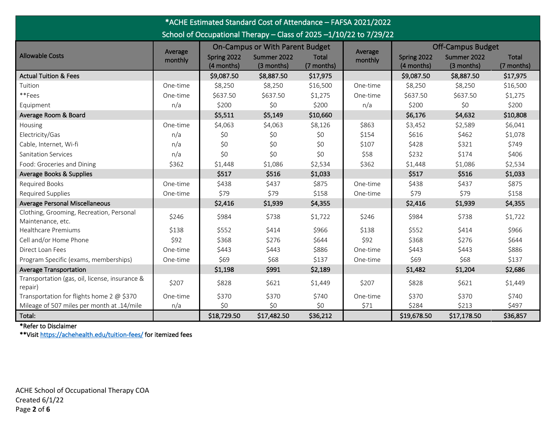| *ACHE Estimated Standard Cost of Attendance - FAFSA 2021/2022      |          |                                        |                           |                            |          |                           |                           |                            |  |
|--------------------------------------------------------------------|----------|----------------------------------------|---------------------------|----------------------------|----------|---------------------------|---------------------------|----------------------------|--|
| School of Occupational Therapy - Class of 2025 -1/10/22 to 7/29/22 |          |                                        |                           |                            |          |                           |                           |                            |  |
|                                                                    | Average  | <b>On-Campus or With Parent Budget</b> |                           |                            | Average  | <b>Off-Campus Budget</b>  |                           |                            |  |
| Allowable Costs                                                    | monthly  | Spring 2022<br>(4 months)              | Summer 2022<br>(3 months) | <b>Total</b><br>(7 months) | monthly  | Spring 2022<br>(4 months) | Summer 2022<br>(3 months) | <b>Total</b><br>(7 months) |  |
| <b>Actual Tuition &amp; Fees</b>                                   |          | \$9,087.50                             | \$8,887.50                | \$17,975                   |          | \$9,087.50                | \$8,887.50                | \$17,975                   |  |
| Tuition                                                            | One-time | \$8,250                                | \$8,250                   | \$16,500                   | One-time | \$8,250                   | \$8,250                   | \$16,500                   |  |
| **Fees                                                             | One-time | \$637.50                               | \$637.50                  | \$1,275                    | One-time | \$637.50                  | \$637.50                  | \$1,275                    |  |
| Equipment                                                          | n/a      | \$200                                  | \$0                       | \$200                      | n/a      | \$200                     | \$0                       | \$200                      |  |
| Average Room & Board                                               |          | \$5,511                                | \$5,149                   | \$10,660                   |          | \$6,176                   | \$4,632                   | \$10,808                   |  |
| Housing                                                            | One-time | \$4,063                                | \$4,063                   | \$8,126                    | \$863    | \$3,452                   | \$2,589                   | \$6,041                    |  |
| Electricity/Gas                                                    | n/a      | \$0                                    | \$0                       | \$0                        | \$154    | \$616                     | \$462                     | \$1,078                    |  |
| Cable, Internet, Wi-fi                                             | n/a      | \$0                                    | \$0                       | \$0                        | \$107    | \$428                     | \$321                     | \$749                      |  |
| <b>Sanitation Services</b>                                         | n/a      | \$0                                    | \$0                       | \$0                        | \$58     | \$232                     | \$174                     | \$406                      |  |
| Food: Groceries and Dining                                         | \$362    | \$1,448                                | \$1,086                   | \$2,534                    | \$362    | \$1,448                   | \$1,086                   | \$2,534                    |  |
| Average Books & Supplies                                           |          | \$517                                  | \$516                     | \$1,033                    |          | \$517                     | \$516                     | \$1,033                    |  |
| <b>Required Books</b>                                              | One-time | \$438                                  | \$437                     | \$875                      | One-time | \$438                     | \$437                     | \$875                      |  |
| <b>Required Supplies</b>                                           | One-time | \$79                                   | \$79                      | \$158                      | One-time | \$79                      | \$79                      | \$158                      |  |
| Average Personal Miscellaneous                                     |          | \$2,416                                | \$1,939                   | \$4,355                    |          | \$2,416                   | \$1,939                   | \$4,355                    |  |
| Clothing, Grooming, Recreation, Personal<br>Maintenance, etc.      | \$246    | \$984                                  | \$738                     | \$1,722                    | \$246    | \$984                     | \$738                     | \$1,722                    |  |
| <b>Healthcare Premiums</b>                                         | \$138    | \$552                                  | \$414                     | \$966                      | \$138    | \$552                     | \$414                     | \$966                      |  |
| Cell and/or Home Phone                                             | \$92     | \$368                                  | \$276                     | \$644                      | \$92     | \$368                     | \$276                     | \$644                      |  |
| Direct Loan Fees                                                   | One-time | \$443                                  | \$443                     | \$886                      | One-time | \$443                     | \$443                     | \$886                      |  |
| Program Specific (exams, memberships)                              | One-time | \$69                                   | \$68                      | \$137                      | One-time | \$69                      | \$68                      | \$137                      |  |
| <b>Average Transportation</b>                                      |          | \$1,198                                | \$991                     | \$2,189                    |          | \$1,482                   | \$1,204                   | \$2,686                    |  |
| Transportation (gas, oil, license, insurance &<br>repair)          | \$207    | \$828                                  | \$621                     | \$1,449                    | \$207    | \$828                     | \$621                     | \$1,449                    |  |
| Transportation for flights home 2 @ \$370                          | One-time | \$370                                  | \$370                     | \$740                      | One-time | \$370                     | \$370                     | \$740                      |  |
| Mileage of 507 miles per month at .14/mile                         | n/a      | \$0                                    | \$0                       | \$0                        | \$71     | \$284                     | \$213                     | \$497                      |  |
| Total:                                                             |          | \$18,729.50                            | \$17,482.50               | \$36,212                   |          | \$19,678.50               | \$17,178.50               | \$36,857                   |  |

\*\*Visit https://achehealth.edu/tuition-fees/ for itemized fees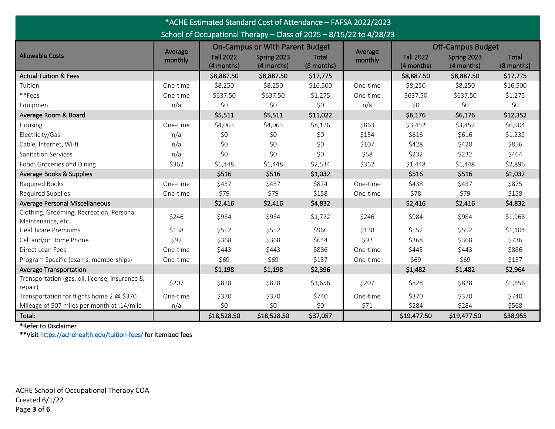| *ACHE Estimated Standard Cost of Attendance - FAFSA 2022/2023       |          |                                        |                           |                            |                    |                                |                           |                            |  |
|---------------------------------------------------------------------|----------|----------------------------------------|---------------------------|----------------------------|--------------------|--------------------------------|---------------------------|----------------------------|--|
| School of Occupational Therapy - Class of 2025 - 8/15/22 to 4/28/23 |          |                                        |                           |                            |                    |                                |                           |                            |  |
|                                                                     | Average  | <b>On-Campus or With Parent Budget</b> |                           |                            |                    | <b>Off-Campus Budget</b>       |                           |                            |  |
| <b>Allowable Costs</b>                                              | monthly  | <b>Fall 2022</b><br>(4 months)         | Spring 2023<br>(4 months) | <b>Total</b><br>(8 months) | Average<br>monthly | <b>Fall 2022</b><br>(4 months) | Spring 2023<br>(4 months) | <b>Total</b><br>(8 months) |  |
| <b>Actual Tuition &amp; Fees</b>                                    |          | \$8,887.50                             | \$8,887.50                | \$17,775                   |                    | \$8,887.50                     | \$8,887.50                | \$17,775                   |  |
| Tuition                                                             | One-time | \$8,250                                | \$8,250                   | \$16,500                   | One-time           | \$8,250                        | \$8,250                   | \$16,500                   |  |
| **Fees                                                              | One-time | \$637.50                               | \$637.50                  | \$1,275                    | One-time           | \$637.50                       | \$637.50                  | \$1,275                    |  |
| Equipment                                                           | n/a      | \$0                                    | \$0                       | \$0                        | n/a                | \$0                            | \$0                       | \$0                        |  |
| Average Room & Board                                                |          | \$5,511                                | \$5,511                   | \$11,022                   |                    | \$6,176                        | \$6,176                   | \$12,352                   |  |
| Housing                                                             | One-time | \$4,063                                | \$4,063                   | \$8,126                    | \$863              | \$3,452                        | \$3,452                   | \$6,904                    |  |
| Electricity/Gas                                                     | n/a      | \$0                                    | \$0                       | \$0                        | \$154              | \$616                          | \$616                     | \$1,232                    |  |
| Cable, Internet, Wi-fi                                              | n/a      | \$0                                    | \$0                       | \$0                        | \$107              | \$428                          | \$428                     | \$856                      |  |
| <b>Sanitation Services</b>                                          | n/a      | \$0                                    | \$0                       | \$0                        | \$58               | \$232                          | \$232                     | \$464                      |  |
| Food: Groceries and Dining                                          | \$362    | \$1,448                                | \$1,448                   | \$2,534                    | \$362              | \$1,448                        | \$1,448                   | \$2,896                    |  |
| <b>Average Books &amp; Supplies</b>                                 |          | \$516                                  | \$516                     | \$1,032                    |                    | \$516                          | \$516                     | \$1,032                    |  |
| <b>Required Books</b>                                               | One-time | \$437                                  | \$437                     | \$874                      | One-time           | \$438                          | \$437                     | \$875                      |  |
| Required Supplies                                                   | One-time | \$79                                   | \$79                      | \$158                      | One-time           | \$78                           | \$79                      | \$158                      |  |
| Average Personal Miscellaneous                                      |          | \$2,416                                | \$2,416                   | \$4,832                    |                    | \$2,416                        | \$2,416                   | \$4,832                    |  |
| Clothing, Grooming, Recreation, Personal<br>Maintenance, etc.       | \$246    | \$984                                  | \$984                     | \$1,722                    | \$246              | \$984                          | \$984                     | \$1,968                    |  |
| <b>Healthcare Premiums</b>                                          | \$138    | \$552                                  | \$552                     | \$966                      | \$138              | \$552                          | \$552                     | \$1,104                    |  |
| Cell and/or Home Phone                                              | \$92     | \$368                                  | \$368                     | \$644                      | \$92               | \$368                          | \$368                     | \$736                      |  |
| Direct Loan Fees                                                    | One-time | \$443                                  | \$443                     | \$886                      | One-time           | \$443                          | \$443                     | \$886                      |  |
| Program Specific (exams, memberships)                               | One-time | \$69                                   | \$69                      | \$137                      | One-time           | \$69                           | \$69                      | \$137                      |  |
| <b>Average Transportation</b>                                       |          | \$1,198                                | \$1,198                   | \$2,396                    |                    | \$1,482                        | \$1,482                   | \$2,964                    |  |
| Transportation (gas, oil, license, insurance &<br>repair)           | \$207    | \$828                                  | \$828                     | \$1,656                    | \$207              | \$828                          | \$828                     | \$1,656                    |  |
| Transportation for flights home 2 @ \$370                           | One-time | \$370                                  | \$370                     | \$740                      | One-time           | \$370                          | \$370                     | \$740                      |  |
| Mileage of 507 miles per month at .14/mile                          | n/a      | \$0                                    | \$0                       | \$0                        | \$71               | \$284                          | \$284                     | \$568                      |  |
| Total:                                                              |          | \$18,528.50                            | \$18,528.50               | \$37,057                   |                    | \$19,477.50                    | \$19,477.50               | \$38,955                   |  |

\*\*Visit https://achehealth.edu/tuition-fees/ for itemized fees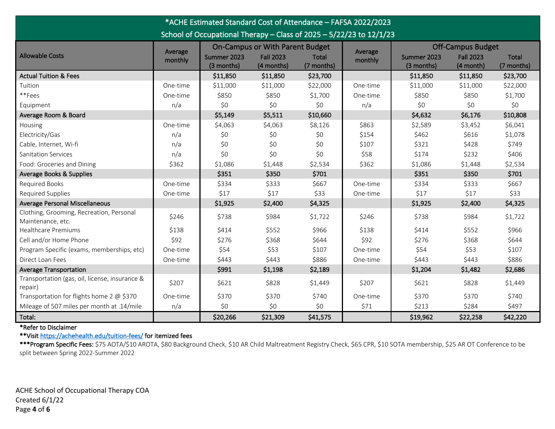| *ACHE Estimated Standard Cost of Attendance - FAFSA 2022/2023       |                    |                                        |                  |              |          |                          |                  |              |  |
|---------------------------------------------------------------------|--------------------|----------------------------------------|------------------|--------------|----------|--------------------------|------------------|--------------|--|
| School of Occupational Therapy - Class of 2025 - 5/22/23 to 12/1/23 |                    |                                        |                  |              |          |                          |                  |              |  |
| <b>Allowable Costs</b>                                              | Average<br>monthly | <b>On-Campus or With Parent Budget</b> |                  |              | Average  | <b>Off-Campus Budget</b> |                  |              |  |
|                                                                     |                    | Summer 2023                            | <b>Fall 2023</b> | <b>Total</b> | monthly  | Summer 2023              | <b>Fall 2023</b> | <b>Total</b> |  |
|                                                                     |                    | (3 months)                             | (4 months)       | (7 months)   |          | (3 months)               | (4 month)        | (7 months)   |  |
| <b>Actual Tuition &amp; Fees</b>                                    |                    | \$11,850                               | \$11,850         | \$23,700     |          | \$11,850                 | \$11,850         | \$23,700     |  |
| Tuition                                                             | One-time           | \$11,000                               | \$11,000         | \$22,000     | One-time | \$11,000                 | \$11,000         | \$22,000     |  |
| **Fees                                                              | One-time           | \$850                                  | \$850            | \$1,700      | One-time | \$850                    | \$850            | \$1,700      |  |
| Equipment                                                           | n/a                | \$0                                    | \$0              | \$0          | n/a      | \$0                      | \$0              | \$0          |  |
| Average Room & Board                                                |                    | \$5,149                                | \$5,511          | \$10,660     |          | \$4,632                  | \$6,176          | \$10,808     |  |
| Housing                                                             | One-time           | \$4,063                                | \$4,063          | \$8,126      | \$863    | \$2,589                  | \$3,452          | \$6,041      |  |
| Electricity/Gas                                                     | n/a                | \$0                                    | \$0              | \$0          | \$154    | \$462                    | \$616            | \$1,078      |  |
| Cable, Internet, Wi-fi                                              | n/a                | \$0                                    | \$0              | \$0          | \$107    | \$321                    | \$428            | \$749        |  |
| <b>Sanitation Services</b>                                          | n/a                | \$0                                    | \$0              | \$0          | \$58     | \$174                    | \$232            | \$406        |  |
| Food: Groceries and Dining                                          | \$362              | \$1,086                                | \$1,448          | \$2,534      | \$362    | \$1,086                  | \$1,448          | \$2,534      |  |
| <b>Average Books &amp; Supplies</b>                                 |                    | \$351                                  | \$350            | \$701        |          | \$351                    | \$350            | \$701        |  |
| <b>Required Books</b>                                               | One-time           | \$334                                  | \$333            | \$667        | One-time | \$334                    | \$333            | \$667        |  |
| Required Supplies                                                   | One-time           | \$17                                   | \$17             | \$33         | One-time | \$17                     | \$17             | \$33         |  |
| Average Personal Miscellaneous                                      |                    | \$1,925                                | \$2,400          | \$4,325      |          | \$1,925                  | \$2,400          | \$4,325      |  |
| Clothing, Grooming, Recreation, Personal                            | \$246              | \$738                                  | \$984            | \$1,722      | \$246    | \$738                    | \$984            | \$1,722      |  |
| Maintenance, etc.                                                   |                    |                                        |                  |              |          |                          |                  |              |  |
| <b>Healthcare Premiums</b>                                          | \$138              | \$414                                  | \$552            | \$966        | \$138    | \$414                    | \$552            | \$966        |  |
| Cell and/or Home Phone                                              | \$92               | \$276                                  | \$368            | \$644        | \$92     | \$276                    | \$368            | \$644        |  |
| Program Specific (exams, memberships, etc)                          | One-time           | \$54                                   | \$53             | \$107        | One-time | \$54                     | \$53             | \$107        |  |
| Direct Loan Fees                                                    | One-time           | \$443                                  | \$443            | \$886        | One-time | \$443                    | \$443            | \$886        |  |
| <b>Average Transportation</b>                                       |                    | \$991                                  | \$1,198          | \$2,189      |          | \$1,204                  | \$1,482          | \$2,686      |  |
| Transportation (gas, oil, license, insurance &<br>repair)           | \$207              | \$621                                  | \$828            | \$1,449      | \$207    | \$621                    | \$828            | \$1,449      |  |
| Transportation for flights home 2 @ \$370                           | One-time           | \$370                                  | \$370            | \$740        | One-time | \$370                    | \$370            | \$740        |  |
| Mileage of 507 miles per month at .14/mile                          | n/a                | \$0                                    | \$0              | \$0\$        | \$71     | \$213                    | \$284            | \$497        |  |
| Total:                                                              |                    | \$20,266                               | \$21,309         | \$41,575     |          | \$19,962                 | \$22,258         | \$42,220     |  |

\*\*Visit https://achehealth.edu/tuition-fees/ for itemized fees

\*\*\*Program Specific Fees: \$75 AOTA/\$10 AROTA, \$80 Background Check, \$10 AR Child Maltreatment Registry Check, \$65 CPR, \$10 SOTA membership, \$25 AR OT Conference to be split between Spring 2022-Summer 2022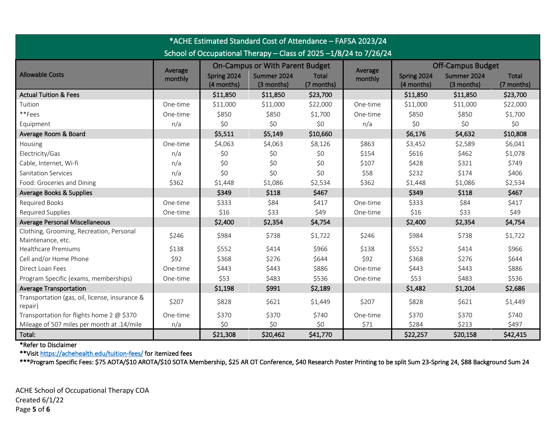| *ACHE Estimated Standard Cost of Attendance - FAFSA 2023/24       |                    |                                                                                                                                |          |                    |                                                                                                    |          |            |          |
|-------------------------------------------------------------------|--------------------|--------------------------------------------------------------------------------------------------------------------------------|----------|--------------------|----------------------------------------------------------------------------------------------------|----------|------------|----------|
| School of Occupational Therapy - Class of 2025 -1/8/24 to 7/26/24 |                    |                                                                                                                                |          |                    |                                                                                                    |          |            |          |
| <b>Allowable Costs</b>                                            | Average<br>monthly | <b>On-Campus or With Parent Budget</b><br>Spring 2024<br>Summer 2024<br><b>Total</b><br>(4 months)<br>(3 months)<br>(7 months) |          | Average<br>monthly | <b>Off-Campus Budget</b><br>Summer 2024<br><b>Total</b><br>Spring 2024<br>(4 months)<br>(3 months) |          | (7 months) |          |
| <b>Actual Tuition &amp; Fees</b>                                  |                    | \$11,850                                                                                                                       | \$11,850 | \$23,700           |                                                                                                    | \$11,850 | \$11,850   | \$23,700 |
| Tuition                                                           | One-time           | \$11,000                                                                                                                       | \$11,000 | \$22,000           | One-time                                                                                           | \$11,000 | \$11,000   | \$22,000 |
| **Fees                                                            | One-time           | \$850                                                                                                                          | \$850    | \$1,700            | One-time                                                                                           | \$850    | \$850      | \$1,700  |
| Equipment                                                         | n/a                | \$0                                                                                                                            | \$0      | \$0                | n/a                                                                                                | \$0      | \$0        | \$0      |
| Average Room & Board                                              |                    | \$5,511                                                                                                                        | \$5,149  | \$10,660           |                                                                                                    | \$6,176  | \$4,632    | \$10,808 |
| Housing                                                           | One-time           | \$4,063                                                                                                                        | \$4,063  | \$8,126            | \$863                                                                                              | \$3,452  | \$2,589    | \$6,041  |
| Electricity/Gas                                                   | n/a                | \$0                                                                                                                            | \$0      | \$0                | \$154                                                                                              | \$616    | \$462      | \$1,078  |
| Cable, Internet, Wi-fi                                            | n/a                | \$0                                                                                                                            | \$0      | \$0                | \$107                                                                                              | \$428    | \$321      | \$749    |
| <b>Sanitation Services</b>                                        | n/a                | \$0                                                                                                                            | \$0      | \$0                | \$58                                                                                               | \$232    | \$174      | \$406    |
| Food: Groceries and Dining                                        | \$362              | \$1,448                                                                                                                        | \$1,086  | \$2,534            | \$362                                                                                              | \$1,448  | \$1,086    | \$2,534  |
| <b>Average Books &amp; Supplies</b>                               |                    | \$349                                                                                                                          | \$118    | \$467              |                                                                                                    | \$349    | \$118      | \$467    |
| Required Books                                                    | One-time           | \$333                                                                                                                          | \$84     | \$417              | One-time                                                                                           | \$333    | \$84       | \$417    |
| Required Supplies                                                 | One-time           | \$16                                                                                                                           | \$33     | \$49               | One-time                                                                                           | \$16     | \$33       | \$49     |
| Average Personal Miscellaneous                                    |                    | \$2,400                                                                                                                        | \$2,354  | \$4,754            |                                                                                                    | \$2,400  | \$2,354    | \$4,754  |
| Clothing, Grooming, Recreation, Personal<br>Maintenance, etc.     | \$246              | \$984                                                                                                                          | \$738    | \$1,722            | \$246                                                                                              | \$984    | \$738      | \$1,722  |
| <b>Healthcare Premiums</b>                                        | \$138              | \$552                                                                                                                          | \$414    | \$966              | \$138                                                                                              | \$552    | \$414      | \$966    |
| Cell and/or Home Phone                                            | \$92               | \$368                                                                                                                          | \$276    | \$644              | \$92                                                                                               | \$368    | \$276      | \$644    |
| Direct Loan Fees                                                  | One-time           | \$443                                                                                                                          | \$443    | \$886              | One-time                                                                                           | \$443    | \$443      | \$886    |
| Program Specific (exams, memberships)                             | One-time           | \$53                                                                                                                           | \$483    | \$536              | One-time                                                                                           | \$53     | \$483      | \$536    |
| <b>Average Transportation</b>                                     |                    | \$1,198                                                                                                                        | \$991    | \$2,189            |                                                                                                    | \$1,482  | \$1,204    | \$2,686  |
| Transportation (gas, oil, license, insurance &<br>repair)         | \$207              | \$828                                                                                                                          | \$621    | \$1,449            | \$207                                                                                              | \$828    | \$621      | \$1,449  |
| Transportation for flights home 2 @ \$370                         | One-time           | \$370                                                                                                                          | \$370    | \$740              | One-time                                                                                           | \$370    | \$370      | \$740    |
| Mileage of 507 miles per month at .14/mile                        | n/a                | \$0                                                                                                                            | \$0      | \$0                | \$71                                                                                               | \$284    | \$213      | \$497    |
| Total:                                                            |                    | \$21,308                                                                                                                       | \$20,462 | \$41,770           |                                                                                                    | \$22,257 | \$20,158   | \$42,415 |

\*\*Visit https://achehealth.edu/tuition-fees/ for itemized fees

\*\*\*Program Specific Fees: \$75 AOTA/\$10 AROTA/\$10 SOTA Membership, \$25 AR OT Conference, \$40 Research Poster Printing to be split Sum 23-Spring 24, \$88 Background Sum 24